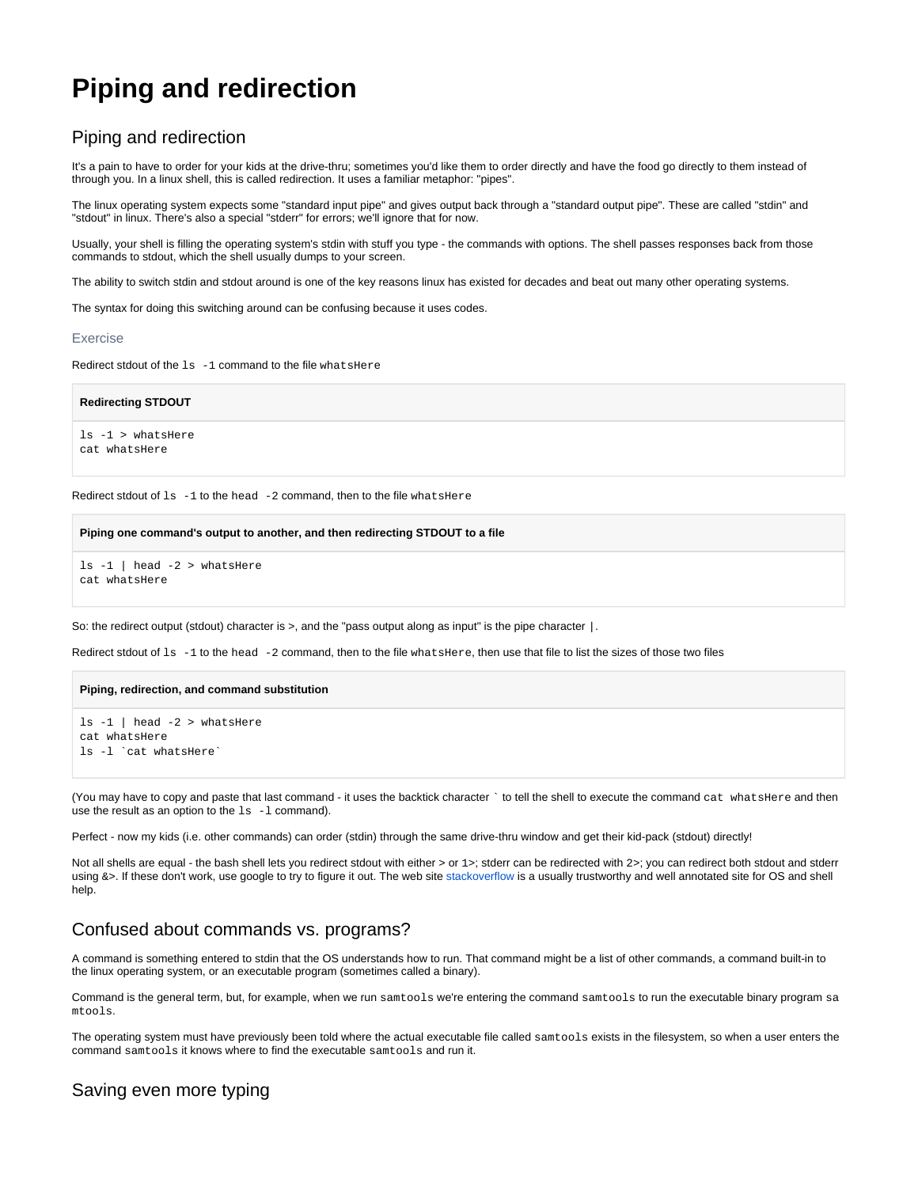# **Piping and redirection**

### Piping and redirection

It's a pain to have to order for your kids at the drive-thru; sometimes you'd like them to order directly and have the food go directly to them instead of through you. In a linux shell, this is called redirection. It uses a familiar metaphor: "pipes".

The linux operating system expects some "standard input pipe" and gives output back through a "standard output pipe". These are called "stdin" and "stdout" in linux. There's also a special "stderr" for errors; we'll ignore that for now.

Usually, your shell is filling the operating system's stdin with stuff you type - the commands with options. The shell passes responses back from those commands to stdout, which the shell usually dumps to your screen.

The ability to switch stdin and stdout around is one of the key reasons linux has existed for decades and beat out many other operating systems.

The syntax for doing this switching around can be confusing because it uses codes.

#### Exercise

Redirect stdout of the 1s -1 command to the file whatsHere

#### **Redirecting STDOUT**

ls -1 > whatsHere cat whatsHere

Redirect stdout of  $ls -1$  to the head  $-2$  command, then to the file what shere

#### **Piping one command's output to another, and then redirecting STDOUT to a file**

ls -1 | head -2 > whatsHere cat whatsHere

So: the redirect output (stdout) character is >, and the "pass output along as input" is the pipe character |.

Redirect stdout of 1s -1 to the head -2 command, then to the file what sHere, then use that file to list the sizes of those two files

#### **Piping, redirection, and command substitution**

```
ls -1 | head -2 > whatsHere
cat whatsHere
ls -l `cat whatsHere`
```
(You may have to copy and paste that last command - it uses the backtick character ` to tell the shell to execute the command cat whatsHere and then use the result as an option to the  $ls -1$  command).

Perfect - now my kids (i.e. other commands) can order (stdin) through the same drive-thru window and get their kid-pack (stdout) directly!

Not all shells are equal - the bash shell lets you redirect stdout with either > or 1>; stderr can be redirected with  $2$ >; you can redirect both stdout and stderr using &>. If these don't work, use google to try to figure it out. The web site [stackoverflow](http://stackoverflow.com/) is a usually trustworthy and well annotated site for OS and shell help.

### Confused about commands vs. programs?

A command is something entered to stdin that the OS understands how to run. That command might be a list of other commands, a command built-in to the linux operating system, or an executable program (sometimes called a binary).

Command is the general term, but, for example, when we run samtools we're entering the command samtools to run the executable binary program sa mtools.

The operating system must have previously been told where the actual executable file called samtools exists in the filesystem, so when a user enters the command samtools it knows where to find the executable samtools and run it.

### Saving even more typing